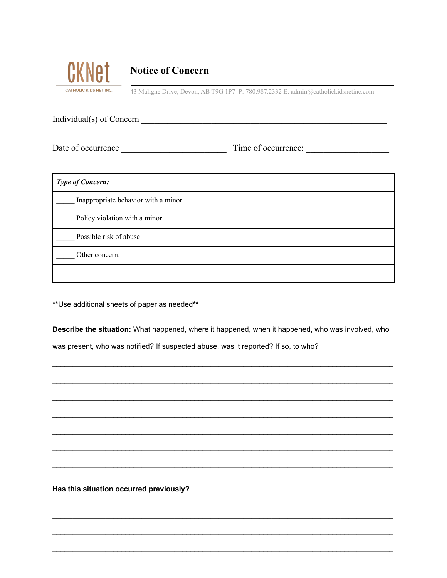

## **Notice of Concern**

43 Maligne Drive, Devon, AB T9G 1P7 P: 780.987.2332 E: admin@catholickidsnetinc.com

Individual(s) of Concern \_\_\_\_\_\_\_\_\_\_\_\_\_\_\_\_\_\_\_\_\_\_\_\_\_\_\_\_\_\_\_\_\_\_\_\_\_\_\_\_\_\_\_\_\_\_\_\_\_\_\_\_\_\_\_\_

Date of occurrence \_\_\_\_\_\_\_\_\_\_\_\_\_\_\_\_\_\_\_\_\_\_\_\_ Time of occurrence: \_\_\_\_\_\_\_\_\_\_\_\_\_\_\_\_\_\_\_

| <b>Type of Concern:</b>             |  |
|-------------------------------------|--|
| Inappropriate behavior with a minor |  |
| Policy violation with a minor       |  |
| Possible risk of abuse              |  |
| Other concern:                      |  |
|                                     |  |

\*\*Use additional sheets of paper as needed**\*\***

**Describe the situation:** What happened, where it happened, when it happened, who was involved, who was present, who was notified? If suspected abuse, was it reported? If so, to who?

\_\_\_\_\_\_\_\_\_\_\_\_\_\_\_\_\_\_\_\_\_\_\_\_\_\_\_\_\_\_\_\_\_\_\_\_\_\_\_\_\_\_\_\_\_\_\_\_\_\_\_\_\_\_\_\_\_\_\_\_\_\_\_\_\_\_\_\_\_\_\_\_\_\_\_\_\_\_\_\_\_\_\_\_

\_\_\_\_\_\_\_\_\_\_\_\_\_\_\_\_\_\_\_\_\_\_\_\_\_\_\_\_\_\_\_\_\_\_\_\_\_\_\_\_\_\_\_\_\_\_\_\_\_\_\_\_\_\_\_\_\_\_\_\_\_\_\_\_\_\_\_\_\_\_\_\_\_\_\_\_\_\_\_\_\_\_\_\_

\_\_\_\_\_\_\_\_\_\_\_\_\_\_\_\_\_\_\_\_\_\_\_\_\_\_\_\_\_\_\_\_\_\_\_\_\_\_\_\_\_\_\_\_\_\_\_\_\_\_\_\_\_\_\_\_\_\_\_\_\_\_\_\_\_\_\_\_\_\_\_\_\_\_\_\_\_\_\_\_\_\_\_\_

\_\_\_\_\_\_\_\_\_\_\_\_\_\_\_\_\_\_\_\_\_\_\_\_\_\_\_\_\_\_\_\_\_\_\_\_\_\_\_\_\_\_\_\_\_\_\_\_\_\_\_\_\_\_\_\_\_\_\_\_\_\_\_\_\_\_\_\_\_\_\_\_\_\_\_\_\_\_\_\_\_\_\_\_

\_\_\_\_\_\_\_\_\_\_\_\_\_\_\_\_\_\_\_\_\_\_\_\_\_\_\_\_\_\_\_\_\_\_\_\_\_\_\_\_\_\_\_\_\_\_\_\_\_\_\_\_\_\_\_\_\_\_\_\_\_\_\_\_\_\_\_\_\_\_\_\_\_\_\_\_\_\_\_\_\_\_\_\_

\_\_\_\_\_\_\_\_\_\_\_\_\_\_\_\_\_\_\_\_\_\_\_\_\_\_\_\_\_\_\_\_\_\_\_\_\_\_\_\_\_\_\_\_\_\_\_\_\_\_\_\_\_\_\_\_\_\_\_\_\_\_\_\_\_\_\_\_\_\_\_\_\_\_\_\_\_\_\_\_\_\_\_\_

\_\_\_\_\_\_\_\_\_\_\_\_\_\_\_\_\_\_\_\_\_\_\_\_\_\_\_\_\_\_\_\_\_\_\_\_\_\_\_\_\_\_\_\_\_\_\_\_\_\_\_\_\_\_\_\_\_\_\_\_\_\_\_\_\_\_\_\_\_\_\_\_\_\_\_\_\_\_\_\_\_\_\_\_

**\_\_\_\_\_\_\_\_\_\_\_\_\_\_\_\_\_\_\_\_\_\_\_\_\_\_\_\_\_\_\_\_\_\_\_\_\_\_\_\_\_\_\_\_\_\_\_\_\_\_\_\_\_\_\_\_\_\_\_\_\_\_\_\_\_\_\_\_\_\_\_\_\_\_\_\_\_\_\_\_\_\_\_\_**

\_\_\_\_\_\_\_\_\_\_\_\_\_\_\_\_\_\_\_\_\_\_\_\_\_\_\_\_\_\_\_\_\_\_\_\_\_\_\_\_\_\_\_\_\_\_\_\_\_\_\_\_\_\_\_\_\_\_\_\_\_\_\_\_\_\_\_\_\_\_\_\_\_\_\_\_\_\_\_\_\_\_\_\_

\_\_\_\_\_\_\_\_\_\_\_\_\_\_\_\_\_\_\_\_\_\_\_\_\_\_\_\_\_\_\_\_\_\_\_\_\_\_\_\_\_\_\_\_\_\_\_\_\_\_\_\_\_\_\_\_\_\_\_\_\_\_\_\_\_\_\_\_\_\_\_\_\_\_\_\_\_\_\_\_\_\_\_\_

**Has this situation occurred previously?**